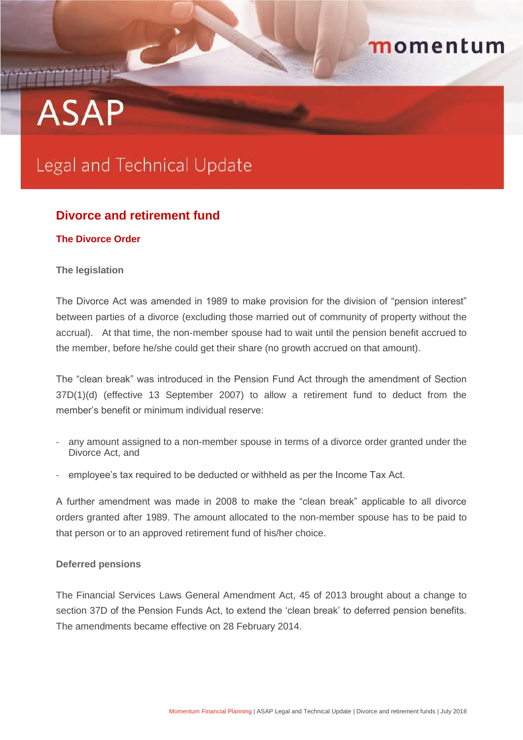## momentum

# **ASAP**

## Legal and Technical Update

### **Divorce and retirement fund**

#### **The Divorce Order**

#### **The legislation**

The Divorce Act was amended in 1989 to make provision for the division of "pension interest" between parties of a divorce (excluding those married out of community of property without the accrual). At that time, the non-member spouse had to wait until the pension benefit accrued to the member, before he/she could get their share (no growth accrued on that amount).

The "clean break" was introduced in the Pension Fund Act through the amendment of Section 37D(1)(d) (effective 13 September 2007) to allow a retirement fund to deduct from the member's benefit or minimum individual reserve:

- any amount assigned to a non-member spouse in terms of a divorce order granted under the Divorce Act, and
- employee's tax required to be deducted or withheld as per the Income Tax Act.

A further amendment was made in 2008 to make the "clean break" applicable to all divorce orders granted after 1989. The amount allocated to the non-member spouse has to be paid to that person or to an approved retirement fund of his/her choice.

#### **Deferred pensions**

The Financial Services Laws General Amendment Act, 45 of 2013 brought about a change to section 37D of the Pension Funds Act, to extend the 'clean break' to deferred pension benefits. The amendments became effective on 28 February 2014.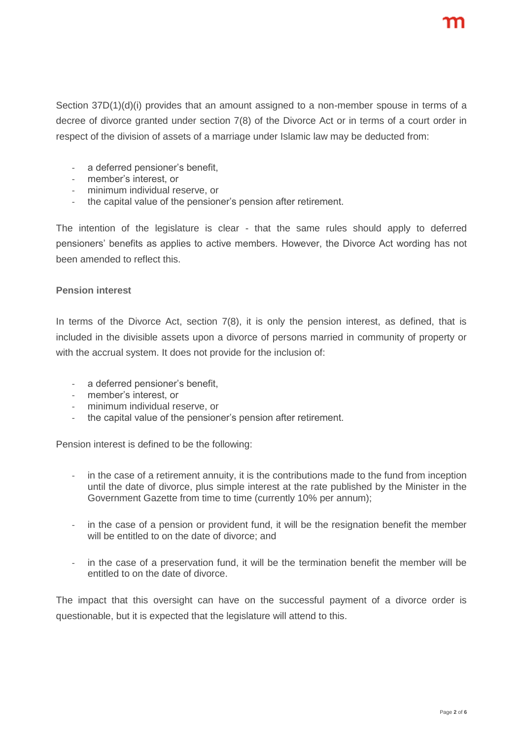Section 37D(1)(d)(i) provides that an amount assigned to a non-member spouse in terms of a decree of divorce granted under section 7(8) of the Divorce Act or in terms of a court order in respect of the division of assets of a marriage under Islamic law may be deducted from:

- a deferred pensioner's benefit,
- member's interest, or
- minimum individual reserve, or
- the capital value of the pensioner's pension after retirement.

The intention of the legislature is clear - that the same rules should apply to deferred pensioners' benefits as applies to active members. However, the Divorce Act wording has not been amended to reflect this.

#### **Pension interest**

In terms of the Divorce Act, section 7(8), it is only the pension interest, as defined, that is included in the divisible assets upon a divorce of persons married in community of property or with the accrual system. It does not provide for the inclusion of:

- a deferred pensioner's benefit,
- member's interest, or
- minimum individual reserve, or
- the capital value of the pensioner's pension after retirement.

Pension interest is defined to be the following:

- in the case of a retirement annuity, it is the contributions made to the fund from inception until the date of divorce, plus simple interest at the rate published by the Minister in the Government Gazette from time to time (currently 10% per annum);
- in the case of a pension or provident fund, it will be the resignation benefit the member will be entitled to on the date of divorce; and
- in the case of a preservation fund, it will be the termination benefit the member will be entitled to on the date of divorce.

The impact that this oversight can have on the successful payment of a divorce order is questionable, but it is expected that the legislature will attend to this.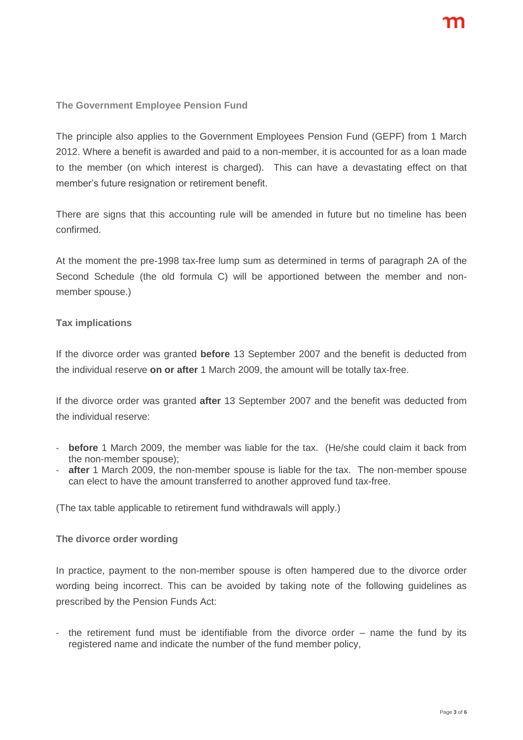**The Government Employee Pension Fund**

The principle also applies to the Government Employees Pension Fund (GEPF) from 1 March 2012. Where a benefit is awarded and paid to a non-member, it is accounted for as a loan made to the member (on which interest is charged). This can have a devastating effect on that member's future resignation or retirement benefit.

There are signs that this accounting rule will be amended in future but no timeline has been confirmed.

At the moment the pre-1998 tax-free lump sum as determined in terms of paragraph 2A of the Second Schedule (the old formula C) will be apportioned between the member and nonmember spouse.)

#### **Tax implications**

If the divorce order was granted **before** 13 September 2007 and the benefit is deducted from the individual reserve **on or after** 1 March 2009, the amount will be totally tax-free.

If the divorce order was granted **after** 13 September 2007 and the benefit was deducted from the individual reserve:

- **before** 1 March 2009, the member was liable for the tax. (He/she could claim it back from the non-member spouse);
- **after** 1 March 2009, the non-member spouse is liable for the tax. The non-member spouse can elect to have the amount transferred to another approved fund tax-free.

(The tax table applicable to retirement fund withdrawals will apply.)

#### **The divorce order wording**

In practice, payment to the non-member spouse is often hampered due to the divorce order wording being incorrect. This can be avoided by taking note of the following guidelines as prescribed by the Pension Funds Act:

the retirement fund must be identifiable from the divorce order  $-$  name the fund by its registered name and indicate the number of the fund member policy,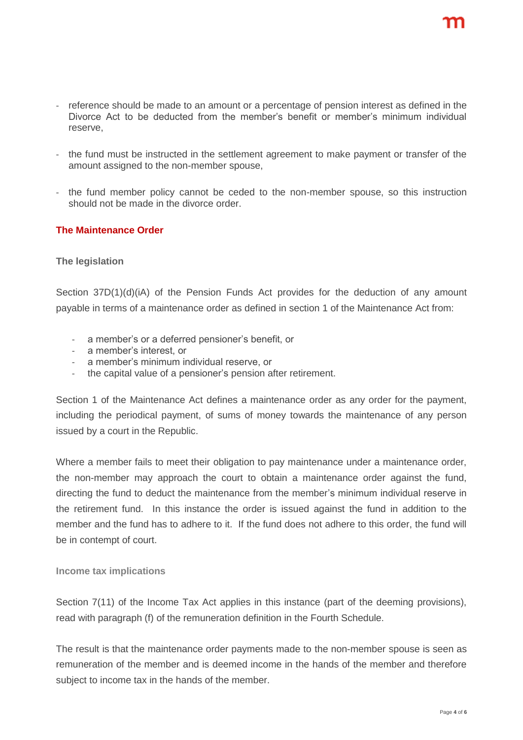- reference should be made to an amount or a percentage of pension interest as defined in the Divorce Act to be deducted from the member's benefit or member's minimum individual reserve,
- the fund must be instructed in the settlement agreement to make payment or transfer of the amount assigned to the non-member spouse,
- the fund member policy cannot be ceded to the non-member spouse, so this instruction should not be made in the divorce order.

#### **The Maintenance Order**

#### **The legislation**

Section 37D(1)(d)(iA) of the Pension Funds Act provides for the deduction of any amount payable in terms of a maintenance order as defined in section 1 of the Maintenance Act from:

- a member's or a deferred pensioner's benefit, or
- a member's interest, or
- a member's minimum individual reserve, or
- the capital value of a pensioner's pension after retirement.

Section 1 of the Maintenance Act defines a maintenance order as any order for the payment, including the periodical payment, of sums of money towards the maintenance of any person issued by a court in the Republic.

Where a member fails to meet their obligation to pay maintenance under a maintenance order, the non-member may approach the court to obtain a maintenance order against the fund, directing the fund to deduct the maintenance from the member's minimum individual reserve in the retirement fund. In this instance the order is issued against the fund in addition to the member and the fund has to adhere to it. If the fund does not adhere to this order, the fund will be in contempt of court.

#### **Income tax implications**

Section 7(11) of the Income Tax Act applies in this instance (part of the deeming provisions), read with paragraph (f) of the remuneration definition in the Fourth Schedule.

The result is that the maintenance order payments made to the non-member spouse is seen as remuneration of the member and is deemed income in the hands of the member and therefore subject to income tax in the hands of the member.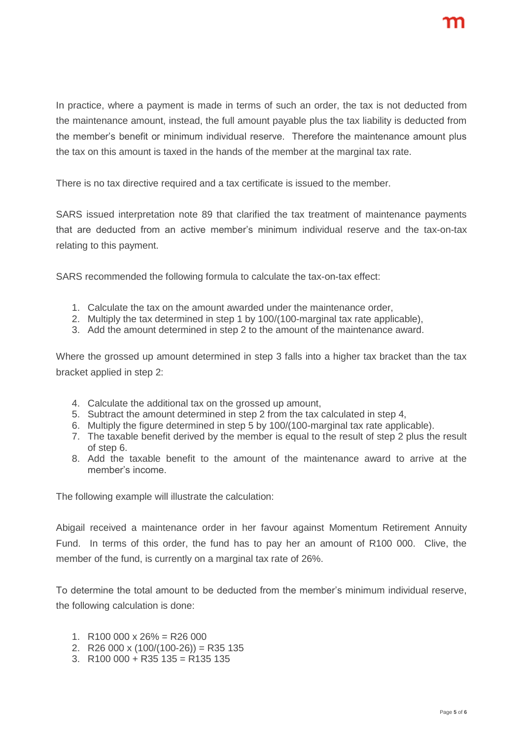In practice, where a payment is made in terms of such an order, the tax is not deducted from the maintenance amount, instead, the full amount payable plus the tax liability is deducted from the member's benefit or minimum individual reserve. Therefore the maintenance amount plus the tax on this amount is taxed in the hands of the member at the marginal tax rate.

There is no tax directive required and a tax certificate is issued to the member.

SARS issued interpretation note 89 that clarified the tax treatment of maintenance payments that are deducted from an active member's minimum individual reserve and the tax-on-tax relating to this payment.

SARS recommended the following formula to calculate the tax-on-tax effect:

- 1. Calculate the tax on the amount awarded under the maintenance order,
- 2. Multiply the tax determined in step 1 by 100/(100-marginal tax rate applicable),
- 3. Add the amount determined in step 2 to the amount of the maintenance award.

Where the grossed up amount determined in step 3 falls into a higher tax bracket than the tax bracket applied in step 2:

- 4. Calculate the additional tax on the grossed up amount,
- 5. Subtract the amount determined in step 2 from the tax calculated in step 4,
- 6. Multiply the figure determined in step 5 by 100/(100-marginal tax rate applicable).
- 7. The taxable benefit derived by the member is equal to the result of step 2 plus the result of step 6.
- 8. Add the taxable benefit to the amount of the maintenance award to arrive at the member's income.

The following example will illustrate the calculation:

Abigail received a maintenance order in her favour against Momentum Retirement Annuity Fund. In terms of this order, the fund has to pay her an amount of R100 000. Clive, the member of the fund, is currently on a marginal tax rate of 26%.

To determine the total amount to be deducted from the member's minimum individual reserve, the following calculation is done:

- 1. R100 000 x  $26\% = R26000$
- 2. R26 000 x  $(100/(100-26))$  = R35 135
- 3. R100 000 + R35 135 = R135 135